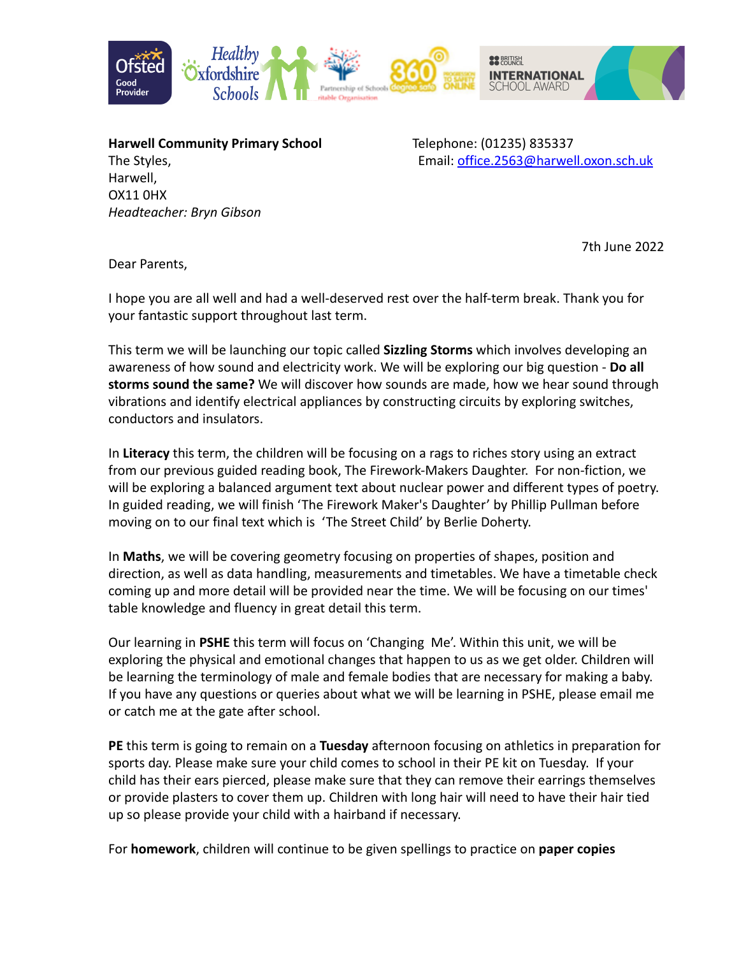

**Harwell Community Primary School** Telephone: (01235) 835337 Harwell, OX11 0HX *Headteacher: Bryn Gibson*

The Styles, Email: [office.2563@harwell.oxon.sch.uk](mailto:office.2563@harwell.oxon.sch.uk)

7th June 2022

Dear Parents,

I hope you are all well and had a well-deserved rest over the half-term break. Thank you for your fantastic support throughout last term.

This term we will be launching our topic called **Sizzling Storms** which involves developing an awareness of how sound and electricity work. We will be exploring our big question - **Do all storms sound the same?** We will discover how sounds are made, how we hear sound through vibrations and identify electrical appliances by constructing circuits by exploring switches, conductors and insulators.

In **Literacy** this term, the children will be focusing on a rags to riches story using an extract from our previous guided reading book, The Firework-Makers Daughter. For non-fiction, we will be exploring a balanced argument text about nuclear power and different types of poetry. In guided reading, we will finish 'The Firework Maker's Daughter' by Phillip Pullman before moving on to our final text which is 'The Street Child' by Berlie Doherty.

In **Maths**, we will be covering geometry focusing on properties of shapes, position and direction, as well as data handling, measurements and timetables. We have a timetable check coming up and more detail will be provided near the time. We will be focusing on our times' table knowledge and fluency in great detail this term.

Our learning in **PSHE** this term will focus on 'Changing Me'. Within this unit, we will be exploring the physical and emotional changes that happen to us as we get older. Children will be learning the terminology of male and female bodies that are necessary for making a baby. If you have any questions or queries about what we will be learning in PSHE, please email me or catch me at the gate after school.

**PE** this term is going to remain on a **Tuesday** afternoon focusing on athletics in preparation for sports day. Please make sure your child comes to school in their PE kit on Tuesday. If your child has their ears pierced, please make sure that they can remove their earrings themselves or provide plasters to cover them up. Children with long hair will need to have their hair tied up so please provide your child with a hairband if necessary.

For **homework**, children will continue to be given spellings to practice on **paper copies**